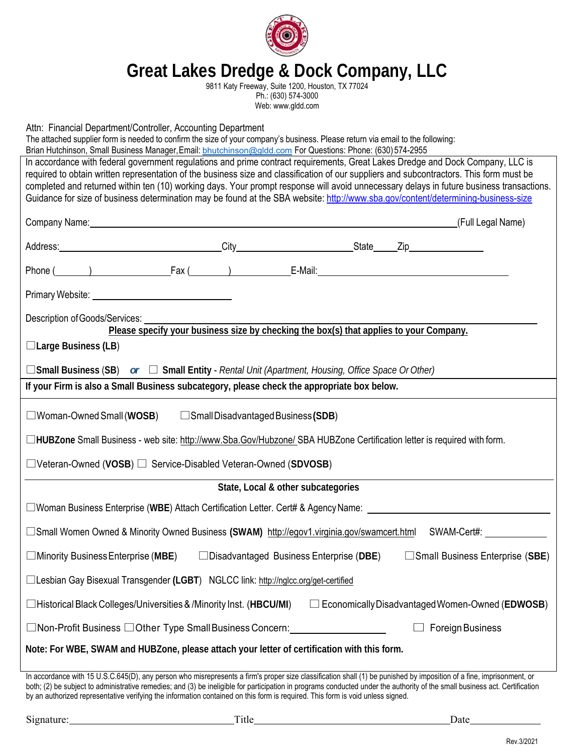

# **Great Lakes Dredge & Dock Company, LLC**

9811 Katy Freeway, Suite 1200, Houston, TX 77024 Ph.: (630) 574-3000 Web: www.gldd.com

Attn: Financial Department/Controller, Accounting Department

| $\overline{a}$ and $\overline{b}$ and $\overline{c}$ belonged to the contribution of $\overline{a}$ to contribute the contribution of $\overline{a}$ |
|------------------------------------------------------------------------------------------------------------------------------------------------------|
| The attached supplier form is needed to confirm the size of your company's business. Please return via email to the following:                       |
| Brian Hutchinson, Small Business Manager, Email: bhutchinson@gldd.com For Questions: Phone: (630) 574-2955                                           |
| In accordance with federal government regulations and prime contract requirements, Great Lakes Dredge and Dock Company, LLC is                       |
| required to obtain written representation of the business size and classification of our suppliers and subcontractors. This form must be             |
| completed and returned within ten (10) working days. Your prompt response will avoid unnecessary delays in future business transactions.             |
| Guidance for size of business determination may be found at the SBA website: http://www.sba.gov/content/determining-business-size                    |

| Address: City City State Zip                                                                                                                                         |                                                                                        |  |  |                                        |  |
|----------------------------------------------------------------------------------------------------------------------------------------------------------------------|----------------------------------------------------------------------------------------|--|--|----------------------------------------|--|
| Phone ( ) Fax ( ) E-Mail: E-Mail:                                                                                                                                    |                                                                                        |  |  |                                        |  |
|                                                                                                                                                                      |                                                                                        |  |  |                                        |  |
| Description of Goods/Services:                                                                                                                                       | Please specify your business size by checking the box(s) that applies to your Company. |  |  |                                        |  |
| $\Box$ Large Business (LB)                                                                                                                                           |                                                                                        |  |  |                                        |  |
| $\Box$ Small Business (SB) or $\Box$ Small Entity - Rental Unit (Apartment, Housing, Office Space Or Other)                                                          |                                                                                        |  |  |                                        |  |
| If your Firm is also a Small Business subcategory, please check the appropriate box below.                                                                           |                                                                                        |  |  |                                        |  |
| $\square$ Woman-Owned Small (WOSB) $\square$ Small Disadvantaged Business (SDB)                                                                                      |                                                                                        |  |  |                                        |  |
| □HUBZone Small Business - web site: http://www.Sba.Gov/Hubzone/ SBA HUBZone Certification letter is required with form.                                              |                                                                                        |  |  |                                        |  |
| □Veteran-Owned (VOSB) □ Service-Disabled Veteran-Owned (SDVOSB)                                                                                                      |                                                                                        |  |  |                                        |  |
| State, Local & other subcategories                                                                                                                                   |                                                                                        |  |  |                                        |  |
| □ Woman Business Enterprise (WBE) Attach Certification Letter. Cert# & Agency Name: ________________________________                                                 |                                                                                        |  |  |                                        |  |
| □Small Women Owned & Minority Owned Business (SWAM) http://egov1.virginia.gov/swamcert.html SWAM-Cert#:                                                              |                                                                                        |  |  |                                        |  |
| $\Box$ Minority Business Enterprise (MBE) $\Box$ Disadvantaged Business Enterprise (DBE)                                                                             |                                                                                        |  |  | $\Box$ Small Business Enterprise (SBE) |  |
| □Lesbian Gay Bisexual Transgender (LGBT) NGLCC link: http://nglcc.org/get-certified                                                                                  |                                                                                        |  |  |                                        |  |
| □Historical Black Colleges/Universities & /Minority Inst. (HBCU/MI) □ Economically Disadvantaged Women-Owned (EDWOSB)                                                |                                                                                        |  |  |                                        |  |
| □Non-Profit Business □Other Type Small Business Concern: ______________________                                                                                      |                                                                                        |  |  | $\Box$ Foreign Business                |  |
| Note: For WBE, SWAM and HUBZone, please attach your letter of certification with this form.                                                                          |                                                                                        |  |  |                                        |  |
| In accordance with 15 U.S.C.645(D), any person who misrepresents a firm's proper size classification shall (1) be punished by imposition of a fine, imprisonment, or |                                                                                        |  |  |                                        |  |

both; (2) be subject to administrative remedies; and (3) be ineligible for participation in programs conducted under the authority of the small business act. Certification by an authorized representative verifying the information contained on this form is required. This form is void unless signed.